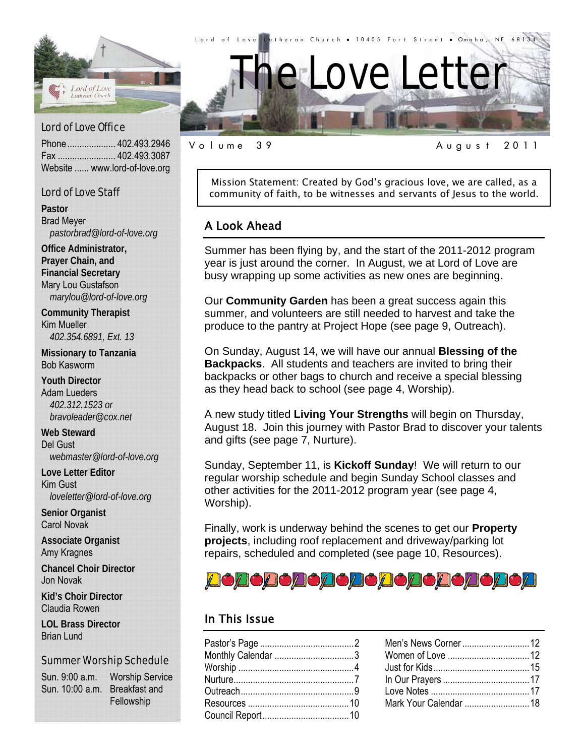

#### Lord of Love Office

Phone .................... 402.493.2946 Fax ........................ 402.493.3087 Website ...... www.lord-of-love.org

#### Lord of Love Staff

**Pastor**  Brad Meyer *pastorbrad@lord-of-love.org* 

**Office Administrator, Prayer Chain, and Financial Secretary**  Mary Lou Gustafson *marylou@lord-of-love.org* 

**Community Therapist**  Kim Mueller *402.354.6891, Ext. 13* 

**Missionary to Tanzania**  Bob Kasworm

**Youth Director**  Adam Lueders *402.312.1523 or bravoleader@cox.net* 

**Web Steward**  Del Gust *webmaster@lord-of-love.org* 

**Love Letter Editor**  Kim Gust *loveletter@lord-of-love.org* 

**Senior Organist**  Carol Novak

**Associate Organist**  Amy Kragnes

**Chancel Choir Director**  Jon Novak

**Kid's Choir Director**  Claudia Rowen

**LOL Brass Director**  Brian Lund

#### Summer Worship Schedule

Sun. 9:00 a.m. Worship Service Sun. 10:00 a.m. Breakfast and Fellowship



Volume 39 August 2011

Mission Statement: Created by God's gracious love, we are called, as a community of faith, to be witnesses and servants of Jesus to the world.

#### A Look Ahead

Summer has been flying by, and the start of the 2011-2012 program year is just around the corner. In August, we at Lord of Love are busy wrapping up some activities as new ones are beginning.

Our **Community Garden** has been a great success again this summer, and volunteers are still needed to harvest and take the produce to the pantry at Project Hope (see page 9, Outreach).

On Sunday, August 14, we will have our annual **Blessing of the Backpacks**. All students and teachers are invited to bring their backpacks or other bags to church and receive a special blessing as they head back to school (see page 4, Worship).

A new study titled **Living Your Strengths** will begin on Thursday, August 18. Join this journey with Pastor Brad to discover your talents and gifts (see page 7, Nurture).

Sunday, September 11, is **Kickoff Sunday**! We will return to our regular worship schedule and begin Sunday School classes and other activities for the 2011-2012 program year (see page 4, Worship).

Finally, work is underway behind the scenes to get our **Property projects**, including roof replacement and driveway/parking lot repairs, scheduled and completed (see page 10, Resources).

# Додододододододододод

#### In This Issue

| Monthly Calendar 3 |  |
|--------------------|--|
|                    |  |
|                    |  |
|                    |  |
|                    |  |
|                    |  |
|                    |  |

| Mark Your Calendar  18 |  |
|------------------------|--|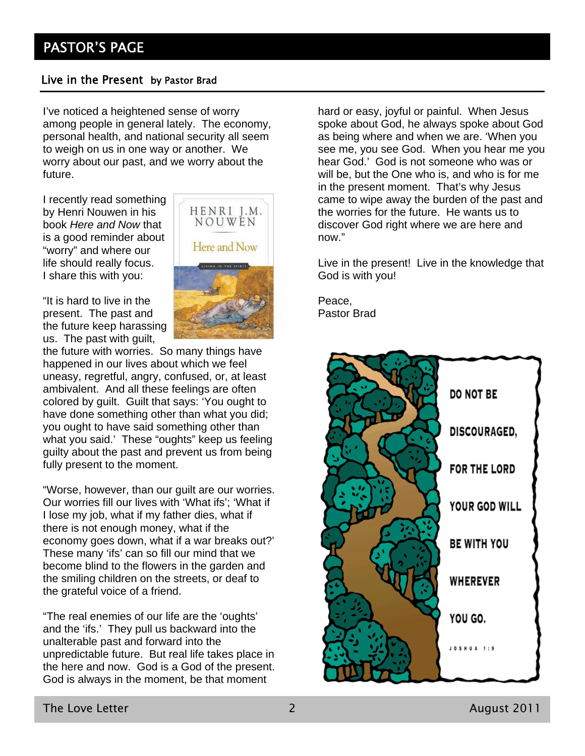# PASTOR'S PAGE

#### Live in the Present by Pastor Brad

I've noticed a heightened sense of worry among people in general lately. The economy, personal health, and national security all seem to weigh on us in one way or another. We worry about our past, and we worry about the future.

I recently read something by Henri Nouwen in his book *Here and Now* that is a good reminder about "worry" and where our life should really focus. I share this with you:



"It is hard to live in the present. The past and the future keep harassing us. The past with guilt,

the future with worries. So many things have happened in our lives about which we feel uneasy, regretful, angry, confused, or, at least ambivalent. And all these feelings are often colored by guilt. Guilt that says: 'You ought to have done something other than what you did; you ought to have said something other than what you said.' These "oughts" keep us feeling guilty about the past and prevent us from being fully present to the moment.

"Worse, however, than our guilt are our worries. Our worries fill our lives with 'What ifs'; 'What if I lose my job, what if my father dies, what if there is not enough money, what if the economy goes down, what if a war breaks out?' These many 'ifs' can so fill our mind that we become blind to the flowers in the garden and the smiling children on the streets, or deaf to the grateful voice of a friend.

"The real enemies of our life are the 'oughts' and the 'ifs.' They pull us backward into the unalterable past and forward into the unpredictable future. But real life takes place in the here and now. God is a God of the present. God is always in the moment, be that moment

hard or easy, joyful or painful. When Jesus spoke about God, he always spoke about God as being where and when we are. 'When you see me, you see God. When you hear me you hear God.' God is not someone who was or will be, but the One who is, and who is for me in the present moment. That's why Jesus came to wipe away the burden of the past and the worries for the future. He wants us to discover God right where we are here and now."

Live in the present! Live in the knowledge that God is with you!

Peace, Pastor Brad

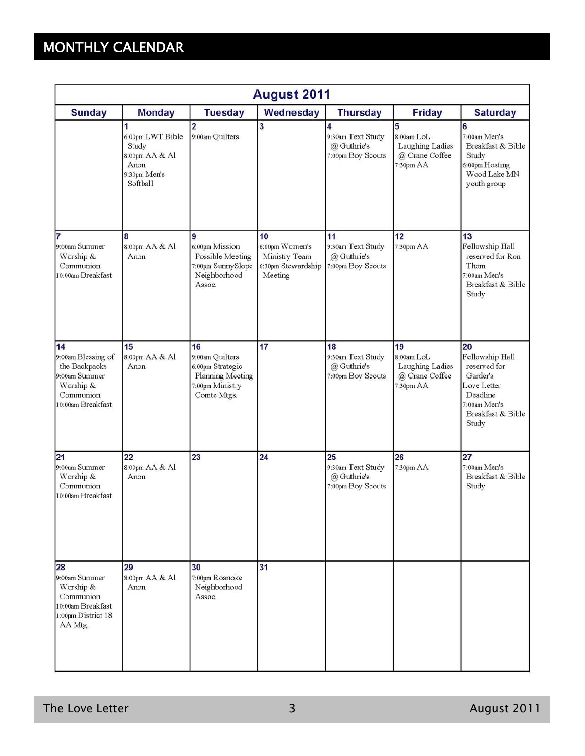# MONTHLY CALENDAR

| <b>August 2011</b>                                                                            |                                                                                      |                                                                        |                                                |                                                            |                                                                   |                                                                                                   |
|-----------------------------------------------------------------------------------------------|--------------------------------------------------------------------------------------|------------------------------------------------------------------------|------------------------------------------------|------------------------------------------------------------|-------------------------------------------------------------------|---------------------------------------------------------------------------------------------------|
| <b>Sunday</b>                                                                                 | <b>Monday</b>                                                                        | <b>Tuesday</b>                                                         | <b>Wednesday</b>                               | <b>Thursday</b>                                            | <b>Friday</b>                                                     | <b>Saturday</b>                                                                                   |
|                                                                                               | 1<br>6:00pm LWT Bible<br>Study<br>8:00pm AA & Al<br>Anon<br>9:30pm Men's<br>Softball | $\overline{2}$<br>9:00am Quilters                                      | 3                                              | 4<br>9:30am Text Study<br>@ Guthrie's<br>7:00pm Boy Scouts | 5<br>8:00am LoL<br>Laughing Ladies<br>@ Crane Coffee<br>7:30pm AA | 6<br>7:00am Men's<br>Breakfast & Bible<br>Study<br>6:00pm Hosting<br>Wood Lake MN<br>youth group  |
| 7<br>9:00am Summer                                                                            | 8<br>8:00pm AA & Al                                                                  | 9<br>6:00pm Mission                                                    | 10<br>6:00pm Women's                           | 11<br>9:30am Text Study                                    | 12<br>7:30pm AA                                                   | 13<br>Fellowship Hall                                                                             |
| Worship &<br>Communion<br>10:00am Breakfast                                                   | Anon                                                                                 | Possible Meeting<br>7:00pm SunnySlope<br>Neighborhood<br>Assoc.        | Ministry Team<br>6:30pm Stewardship<br>Meeting | @ Guthrie's<br>7:00pm Boy Scouts                           |                                                                   | reserved for Ron<br>Thom<br>7:00am Men's<br>Breakfast & Bible<br>Study                            |
| 14<br>9:00am Blessing of                                                                      | 15<br>8:00pm AA & Al                                                                 | 16<br>9:00am Quilters                                                  | 17                                             | 18<br>9:30am Text Study                                    | 19<br>8:00am LoL                                                  | 20<br>Fellowship Hall                                                                             |
| the Backpacks<br>9:00am Summer<br>Worship &<br>Communion<br>10:00am Breakfast                 | Anon                                                                                 | 6:00pm Strategic<br>Planning Meeting<br>7:00pm Ministry<br>Comte Mtgs. |                                                | @ Guthrie's<br>7:00pm Boy Scouts                           | Laughing Ladies<br>@ Crane Coffee<br>7:30pm AA                    | reserved for<br>Garder's<br>Love Letter<br>Deadline<br>7:00am Men's<br>Breakfast & Bible<br>Study |
| 21<br>9:00am Summer                                                                           | 22<br>8:00pm AA & Al                                                                 | 23                                                                     | 24                                             | 25<br>9:30am Text Study                                    | 26<br>7:30pm AA                                                   | 27<br>7:00am Men's                                                                                |
| Worship &<br>Communion<br>10:00am Breakfast                                                   | Anon                                                                                 |                                                                        |                                                | @ Guthrie's<br>7:00pm Boy Scouts                           |                                                                   | Breakfast & Bible<br>Study                                                                        |
| 28                                                                                            | 29                                                                                   | 30                                                                     | 31                                             |                                                            |                                                                   |                                                                                                   |
| 9:00am Summer<br>Worship &<br>Communion<br>10:00am Breakfast<br>1:00pm District 18<br>AA Mtg. | 8:00pm AA & Al<br>Anon                                                               | 7:00pm Roanoke<br>Neighborhood<br>Assoc.                               |                                                |                                                            |                                                                   |                                                                                                   |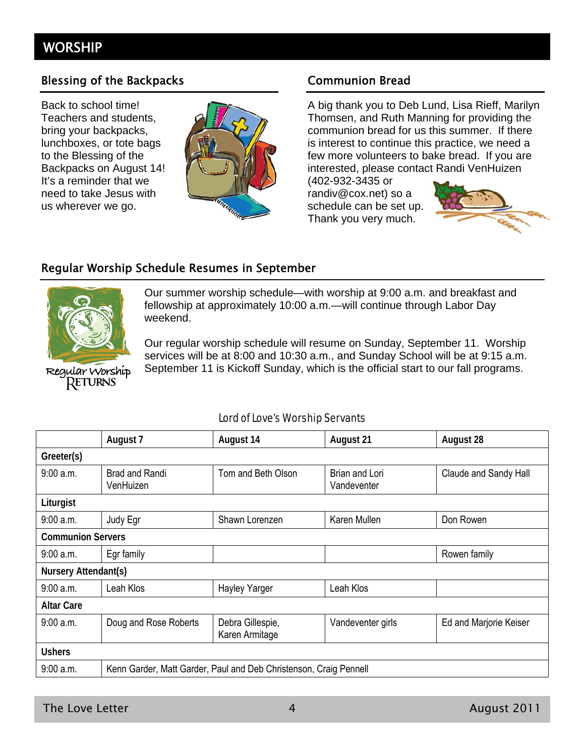## Blessing of the Backpacks Communion Bread

Back to school time! Teachers and students, bring your backpacks, lunchboxes, or tote bags to the Blessing of the Backpacks on August 14! It's a reminder that we need to take Jesus with us wherever we go.



A big thank you to Deb Lund, Lisa Rieff, Marilyn Thomsen, and Ruth Manning for providing the communion bread for us this summer. If there is interest to continue this practice, we need a few more volunteers to bake bread. If you are interested, please contact Randi VenHuizen

(402-932-3435 or randiv@cox.net) so a schedule can be set up. Thank you very much.



#### Regular Worship Schedule Resumes in September



Requiar Worship RETURNS

Our summer worship schedule—with worship at 9:00 a.m. and breakfast and fellowship at approximately 10:00 a.m.—will continue through Labor Day weekend.

Our regular worship schedule will resume on Sunday, September 11. Worship services will be at 8:00 and 10:30 a.m., and Sunday School will be at 9:15 a.m. September 11 is Kickoff Sunday, which is the official start to our fall programs.

|                          | <b>August 7</b>                                                   | August 14                          | August 21                                              | <b>August 28</b>       |  |
|--------------------------|-------------------------------------------------------------------|------------------------------------|--------------------------------------------------------|------------------------|--|
| Greeter(s)               |                                                                   |                                    |                                                        |                        |  |
| 9:00 a.m.                | Brad and Randi<br>VenHuizen                                       | Tom and Beth Olson                 | Brian and Lori<br>Claude and Sandy Hall<br>Vandeventer |                        |  |
| Liturgist                |                                                                   |                                    |                                                        |                        |  |
| 9:00 a.m.                | Judy Egr                                                          | Shawn Lorenzen                     | Karen Mullen                                           | Don Rowen              |  |
| <b>Communion Servers</b> |                                                                   |                                    |                                                        |                        |  |
| 9:00 a.m.                | Egr family                                                        |                                    |                                                        | Rowen family           |  |
| Nursery Attendant(s)     |                                                                   |                                    |                                                        |                        |  |
| 9:00 a.m.                | Leah Klos                                                         | <b>Hayley Yarger</b>               | Leah Klos                                              |                        |  |
| <b>Altar Care</b>        |                                                                   |                                    |                                                        |                        |  |
| 9:00 a.m.                | Doug and Rose Roberts                                             | Debra Gillespie,<br>Karen Armitage | Vandeventer girls                                      | Ed and Marjorie Keiser |  |
| <b>Ushers</b>            |                                                                   |                                    |                                                        |                        |  |
| $9:00$ a.m.              | Kenn Garder, Matt Garder, Paul and Deb Christenson, Craig Pennell |                                    |                                                        |                        |  |

#### Lord of Love's Worship Servants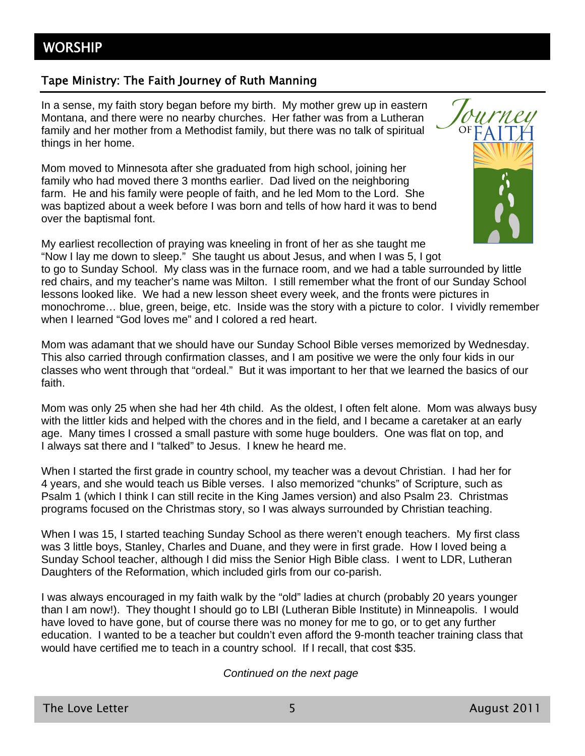#### Tape Ministry: The Faith Journey of Ruth Manning

In a sense, my faith story began before my birth. My mother grew up in eastern Montana, and there were no nearby churches. Her father was from a Lutheran family and her mother from a Methodist family, but there was no talk of spiritual things in her home.

Mom moved to Minnesota after she graduated from high school, joining her family who had moved there 3 months earlier. Dad lived on the neighboring farm. He and his family were people of faith, and he led Mom to the Lord. She was baptized about a week before I was born and tells of how hard it was to bend over the baptismal font.



My earliest recollection of praying was kneeling in front of her as she taught me "Now I lay me down to sleep." She taught us about Jesus, and when I was 5, I got to go to Sunday School. My class was in the furnace room, and we had a table surrounded by little red chairs, and my teacher's name was Milton. I still remember what the front of our Sunday School lessons looked like. We had a new lesson sheet every week, and the fronts were pictures in monochrome… blue, green, beige, etc. Inside was the story with a picture to color. I vividly remember when I learned "God loves me" and I colored a red heart.

Mom was adamant that we should have our Sunday School Bible verses memorized by Wednesday. This also carried through confirmation classes, and I am positive we were the only four kids in our classes who went through that "ordeal." But it was important to her that we learned the basics of our faith.

Mom was only 25 when she had her 4th child. As the oldest, I often felt alone. Mom was always busy with the littler kids and helped with the chores and in the field, and I became a caretaker at an early age. Many times I crossed a small pasture with some huge boulders. One was flat on top, and I always sat there and I "talked" to Jesus. I knew he heard me.

When I started the first grade in country school, my teacher was a devout Christian. I had her for 4 years, and she would teach us Bible verses. I also memorized "chunks" of Scripture, such as Psalm 1 (which I think I can still recite in the King James version) and also Psalm 23. Christmas programs focused on the Christmas story, so I was always surrounded by Christian teaching.

When I was 15, I started teaching Sunday School as there weren't enough teachers. My first class was 3 little boys, Stanley, Charles and Duane, and they were in first grade. How I loved being a Sunday School teacher, although I did miss the Senior High Bible class. I went to LDR, Lutheran Daughters of the Reformation, which included girls from our co-parish.

I was always encouraged in my faith walk by the "old" ladies at church (probably 20 years younger than I am now!). They thought I should go to LBI (Lutheran Bible Institute) in Minneapolis. I would have loved to have gone, but of course there was no money for me to go, or to get any further education. I wanted to be a teacher but couldn't even afford the 9-month teacher training class that would have certified me to teach in a country school. If I recall, that cost \$35.

#### *Continued on the next page*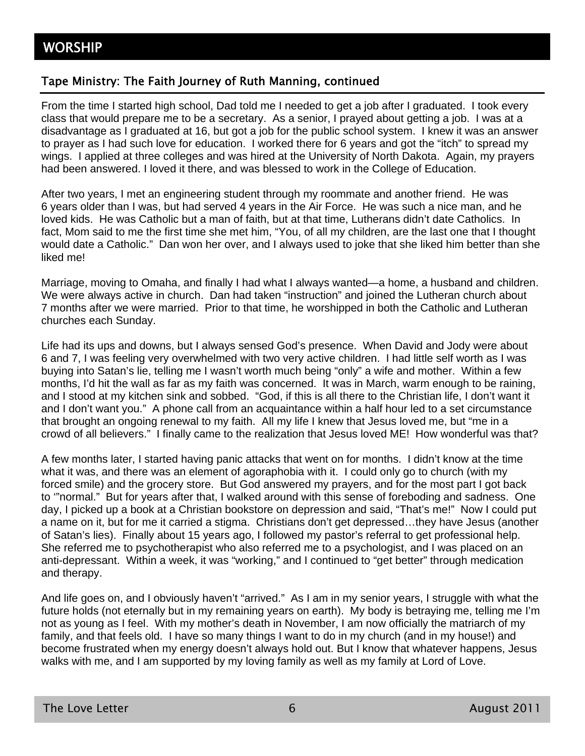#### Tape Ministry: The Faith Journey of Ruth Manning, continued

From the time I started high school, Dad told me I needed to get a job after I graduated. I took every class that would prepare me to be a secretary. As a senior, I prayed about getting a job. I was at a disadvantage as I graduated at 16, but got a job for the public school system. I knew it was an answer to prayer as I had such love for education. I worked there for 6 years and got the "itch" to spread my wings. I applied at three colleges and was hired at the University of North Dakota. Again, my prayers had been answered. I loved it there, and was blessed to work in the College of Education.

After two years, I met an engineering student through my roommate and another friend. He was 6 years older than I was, but had served 4 years in the Air Force. He was such a nice man, and he loved kids. He was Catholic but a man of faith, but at that time, Lutherans didn't date Catholics. In fact, Mom said to me the first time she met him, "You, of all my children, are the last one that I thought would date a Catholic." Dan won her over, and I always used to joke that she liked him better than she liked me!

Marriage, moving to Omaha, and finally I had what I always wanted—a home, a husband and children. We were always active in church. Dan had taken "instruction" and joined the Lutheran church about 7 months after we were married. Prior to that time, he worshipped in both the Catholic and Lutheran churches each Sunday.

Life had its ups and downs, but I always sensed God's presence. When David and Jody were about 6 and 7, I was feeling very overwhelmed with two very active children. I had little self worth as I was buying into Satan's lie, telling me I wasn't worth much being "only" a wife and mother. Within a few months, I'd hit the wall as far as my faith was concerned. It was in March, warm enough to be raining, and I stood at my kitchen sink and sobbed. "God, if this is all there to the Christian life, I don't want it and I don't want you." A phone call from an acquaintance within a half hour led to a set circumstance that brought an ongoing renewal to my faith. All my life I knew that Jesus loved me, but "me in a crowd of all believers." I finally came to the realization that Jesus loved ME! How wonderful was that?

A few months later, I started having panic attacks that went on for months. I didn't know at the time what it was, and there was an element of agoraphobia with it. I could only go to church (with my forced smile) and the grocery store. But God answered my prayers, and for the most part I got back to '"normal." But for years after that, I walked around with this sense of foreboding and sadness. One day, I picked up a book at a Christian bookstore on depression and said, "That's me!" Now I could put a name on it, but for me it carried a stigma. Christians don't get depressed…they have Jesus (another of Satan's lies). Finally about 15 years ago, I followed my pastor's referral to get professional help. She referred me to psychotherapist who also referred me to a psychologist, and I was placed on an anti-depressant. Within a week, it was "working," and I continued to "get better" through medication and therapy.

And life goes on, and I obviously haven't "arrived." As I am in my senior years, I struggle with what the future holds (not eternally but in my remaining years on earth). My body is betraying me, telling me I'm not as young as I feel. With my mother's death in November, I am now officially the matriarch of my family, and that feels old. I have so many things I want to do in my church (and in my house!) and become frustrated when my energy doesn't always hold out. But I know that whatever happens, Jesus walks with me, and I am supported by my loving family as well as my family at Lord of Love.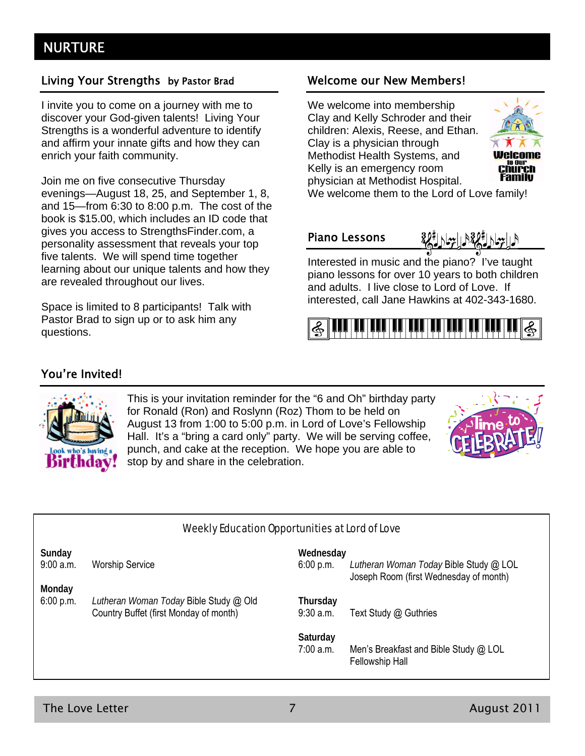#### Living Your Strengths by Pastor Brad Welcome our New Members!

I invite you to come on a journey with me to discover your God-given talents! Living Your Strengths is a wonderful adventure to identify and affirm your innate gifts and how they can enrich your faith community.

Join me on five consecutive Thursday evenings—August 18, 25, and September 1, 8, and 15—from 6:30 to 8:00 p.m. The cost of the book is \$15.00, which includes an ID code that gives you access to StrengthsFinder.com, a personality assessment that reveals your top five talents. We will spend time together learning about our unique talents and how they are revealed throughout our lives.

Space is limited to 8 participants! Talk with Pastor Brad to sign up or to ask him any questions.

We welcome into membership Clay and Kelly Schroder and their children: Alexis, Reese, and Ethan. Clay is a physician through Methodist Health Systems, and Kelly is an emergency room physician at Methodist Hospital.



We welcome them to the Lord of Love family!

## Piano Lessons

Interested in music and the piano? I've taught piano lessons for over 10 years to both children and adults. I live close to Lord of Love. If interested, call Jane Hawkins at 402-343-1680.



#### You're Invited!



This is your invitation reminder for the "6 and Oh" birthday party for Ronald (Ron) and Roslynn (Roz) Thom to be held on August 13 from 1:00 to 5:00 p.m. in Lord of Love's Fellowship Hall. It's a "bring a card only" party. We will be serving coffee, punch, and cake at the reception. We hope you are able to stop by and share in the celebration.



| Weekly Education Opportunities at Lord of Love |                                        |                       |                                                                 |  |
|------------------------------------------------|----------------------------------------|-----------------------|-----------------------------------------------------------------|--|
| Sunday                                         | <b>Worship Service</b>                 | Wednesday             | Lutheran Woman Today Bible Study @ LOL                          |  |
| 9:00 a.m.                                      |                                        | 6:00 p.m.             | Joseph Room (first Wednesday of month)                          |  |
| Monday                                         | Lutheran Woman Today Bible Study @ Old | Thursday              | Text Study @ Guthries                                           |  |
| 6:00 p.m.                                      | Country Buffet (first Monday of month) | $9:30$ a.m.           |                                                                 |  |
|                                                |                                        | Saturday<br>7:00 a.m. | Men's Breakfast and Bible Study @ LOL<br><b>Fellowship Hall</b> |  |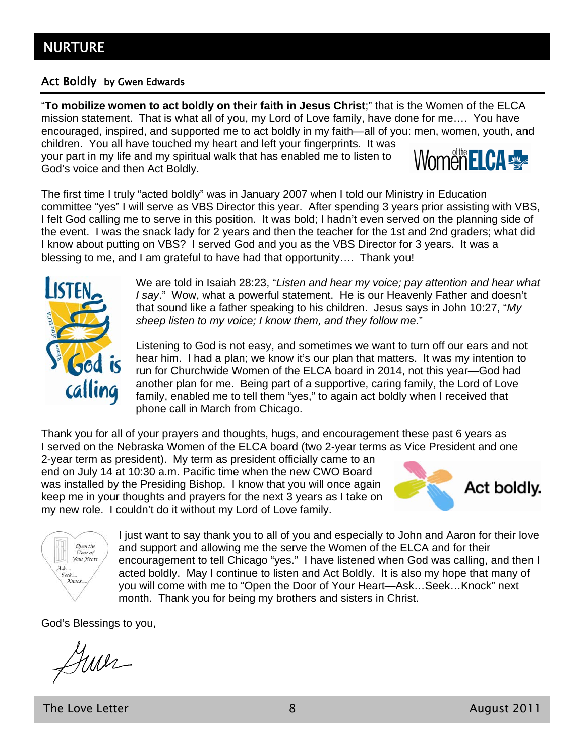#### Act Boldly by Gwen Edwards

"**To mobilize women to act boldly on their faith in Jesus Christ**;" that is the Women of the ELCA mission statement. That is what all of you, my Lord of Love family, have done for me…. You have encouraged, inspired, and supported me to act boldly in my faith—all of you: men, women, youth, and children. You all have touched my heart and left your fingerprints. It was Women ELCA your part in my life and my spiritual walk that has enabled me to listen to God's voice and then Act Boldly.

The first time I truly "acted boldly" was in January 2007 when I told our Ministry in Education committee "yes" I will serve as VBS Director this year. After spending 3 years prior assisting with VBS, I felt God calling me to serve in this position. It was bold; I hadn't even served on the planning side of the event. I was the snack lady for 2 years and then the teacher for the 1st and 2nd graders; what did I know about putting on VBS? I served God and you as the VBS Director for 3 years. It was a blessing to me, and I am grateful to have had that opportunity…. Thank you!



We are told in Isaiah 28:23, "*Listen and hear my voice; pay attention and hear what I say*." Wow, what a powerful statement. He is our Heavenly Father and doesn't that sound like a father speaking to his children. Jesus says in John 10:27, "*My sheep listen to my voice; I know them, and they follow me*."

Listening to God is not easy, and sometimes we want to turn off our ears and not hear him. I had a plan; we know it's our plan that matters. It was my intention to run for Churchwide Women of the ELCA board in 2014, not this year—God had another plan for me. Being part of a supportive, caring family, the Lord of Love family, enabled me to tell them "yes," to again act boldly when I received that phone call in March from Chicago.

Thank you for all of your prayers and thoughts, hugs, and encouragement these past 6 years as I served on the Nebraska Women of the ELCA board (two 2-year terms as Vice President and one

2-year term as president). My term as president officially came to an end on July 14 at 10:30 a.m. Pacific time when the new CWO Board was installed by the Presiding Bishop. I know that you will once again keep me in your thoughts and prayers for the next 3 years as I take on my new role. I couldn't do it without my Lord of Love family.





I just want to say thank you to all of you and especially to John and Aaron for their love and support and allowing me the serve the Women of the ELCA and for their encouragement to tell Chicago "yes." I have listened when God was calling, and then I acted boldly. May I continue to listen and Act Boldly. It is also my hope that many of you will come with me to "Open the Door of Your Heart—Ask…Seek…Knock" next month. Thank you for being my brothers and sisters in Christ.

God's Blessings to you,

Juir

The Love Letter and the state of  $\sim 8$  and the state of  $\sim 8$  August 2011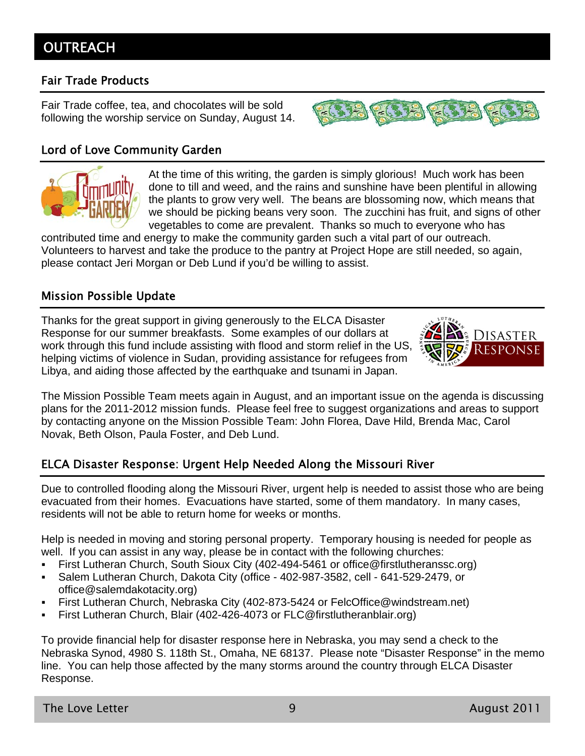## Fair Trade Products

Fair Trade coffee, tea, and chocolates will be sold following the worship service on Sunday, August 14.



#### Lord of Love Community Garden



At the time of this writing, the garden is simply glorious! Much work has been done to till and weed, and the rains and sunshine have been plentiful in allowing the plants to grow very well. The beans are blossoming now, which means that we should be picking beans very soon. The zucchini has fruit, and signs of other vegetables to come are prevalent. Thanks so much to everyone who has

contributed time and energy to make the community garden such a vital part of our outreach. Volunteers to harvest and take the produce to the pantry at Project Hope are still needed, so again, please contact Jeri Morgan or Deb Lund if you'd be willing to assist.

#### Mission Possible Update

Thanks for the great support in giving generously to the ELCA Disaster Response for our summer breakfasts. Some examples of our dollars at work through this fund include assisting with flood and storm relief in the US, helping victims of violence in Sudan, providing assistance for refugees from Libya, and aiding those affected by the earthquake and tsunami in Japan.



The Mission Possible Team meets again in August, and an important issue on the agenda is discussing plans for the 2011-2012 mission funds. Please feel free to suggest organizations and areas to support by contacting anyone on the Mission Possible Team: John Florea, Dave Hild, Brenda Mac, Carol Novak, Beth Olson, Paula Foster, and Deb Lund.

#### ELCA Disaster Response: Urgent Help Needed Along the Missouri River

Due to controlled flooding along the Missouri River, urgent help is needed to assist those who are being evacuated from their homes. Evacuations have started, some of them mandatory. In many cases, residents will not be able to return home for weeks or months.

Help is needed in moving and storing personal property. Temporary housing is needed for people as well. If you can assist in any way, please be in contact with the following churches:

- First Lutheran Church, South Sioux City (402-494-5461 or office@firstlutheranssc.org)
- Salem Lutheran Church, Dakota City (office 402-987-3582, cell 641-529-2479, or office@salemdakotacity.org)
- First Lutheran Church, Nebraska City (402-873-5424 or FelcOffice@windstream.net)
- First Lutheran Church, Blair (402-426-4073 or FLC@firstlutheranblair.org)

To provide financial help for disaster response here in Nebraska, you may send a check to the Nebraska Synod, 4980 S. 118th St., Omaha, NE 68137. Please note "Disaster Response" in the memo line. You can help those affected by the many storms around the country through ELCA Disaster Response.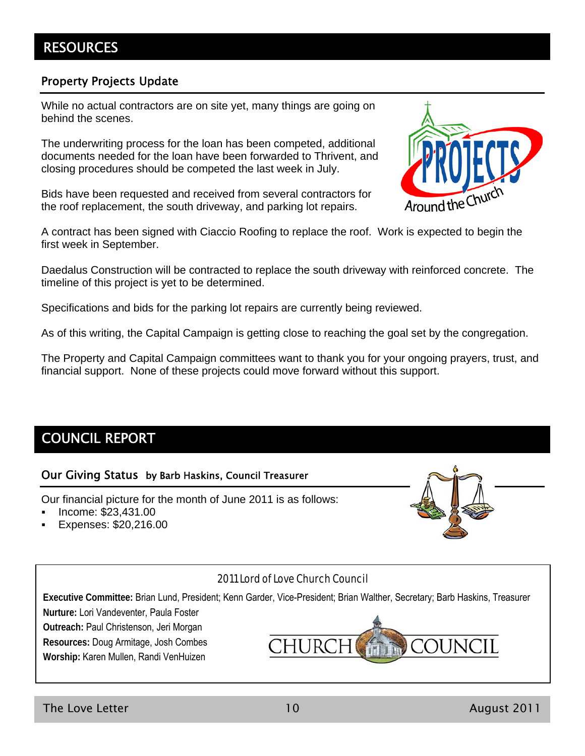## **RESOURCES**

#### Property Projects Update

While no actual contractors are on site yet, many things are going on behind the scenes.

The underwriting process for the loan has been competed, additional documents needed for the loan have been forwarded to Thrivent, and closing procedures should be competed the last week in July.

Bids have been requested and received from several contractors for the roof replacement, the south driveway, and parking lot repairs.



A contract has been signed with Ciaccio Roofing to replace the roof. Work is expected to begin the first week in September.

Daedalus Construction will be contracted to replace the south driveway with reinforced concrete. The timeline of this project is yet to be determined.

Specifications and bids for the parking lot repairs are currently being reviewed.

As of this writing, the Capital Campaign is getting close to reaching the goal set by the congregation.

The Property and Capital Campaign committees want to thank you for your ongoing prayers, trust, and financial support. None of these projects could move forward without this support.

## COUNCIL REPORT

#### Our Giving Status by Barb Haskins, Council Treasurer

Our financial picture for the month of June 2011 is as follows:

- Income: \$23,431.00
- Expenses: \$20,216.00



#### 2011 Lord of Love Church Council

**Executive Committee:** Brian Lund, President; Kenn Garder, Vice-President; Brian Walther, Secretary; Barb Haskins, Treasurer **Nurture:** Lori Vandeventer, Paula Foster **Outreach:** Paul Christenson, Jeri Morgan

**Resources:** Doug Armitage, Josh Combes

**Worship:** Karen Mullen, Randi VenHuizen

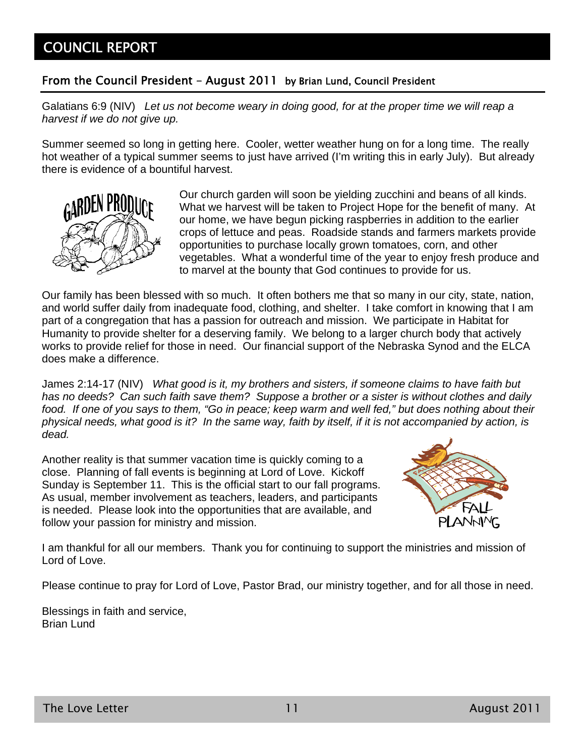# COUNCIL REPORT

#### From the Council President – August 2011 by Brian Lund, Council President

Galatians 6:9 (NIV) *Let us not become weary in doing good, for at the proper time we will reap a harvest if we do not give up.*

Summer seemed so long in getting here. Cooler, wetter weather hung on for a long time. The really hot weather of a typical summer seems to just have arrived (I'm writing this in early July). But already there is evidence of a bountiful harvest.



Our church garden will soon be yielding zucchini and beans of all kinds. What we harvest will be taken to Project Hope for the benefit of many. At our home, we have begun picking raspberries in addition to the earlier crops of lettuce and peas. Roadside stands and farmers markets provide opportunities to purchase locally grown tomatoes, corn, and other vegetables. What a wonderful time of the year to enjoy fresh produce and to marvel at the bounty that God continues to provide for us.

Our family has been blessed with so much. It often bothers me that so many in our city, state, nation, and world suffer daily from inadequate food, clothing, and shelter. I take comfort in knowing that I am part of a congregation that has a passion for outreach and mission. We participate in Habitat for Humanity to provide shelter for a deserving family. We belong to a larger church body that actively works to provide relief for those in need. Our financial support of the Nebraska Synod and the ELCA does make a difference.

James 2:14-17 (NIV) *What good is it, my brothers and sisters, if someone claims to have faith but has no deeds? Can such faith save them? Suppose a brother or a sister is without clothes and daily food. If one of you says to them, "Go in peace; keep warm and well fed," but does nothing about their physical needs, what good is it? In the same way, faith by itself, if it is not accompanied by action, is dead.*

Another reality is that summer vacation time is quickly coming to a close. Planning of fall events is beginning at Lord of Love. Kickoff Sunday is September 11. This is the official start to our fall programs. As usual, member involvement as teachers, leaders, and participants is needed. Please look into the opportunities that are available, and follow your passion for ministry and mission.



I am thankful for all our members. Thank you for continuing to support the ministries and mission of Lord of Love.

Please continue to pray for Lord of Love, Pastor Brad, our ministry together, and for all those in need.

Blessings in faith and service, Brian Lund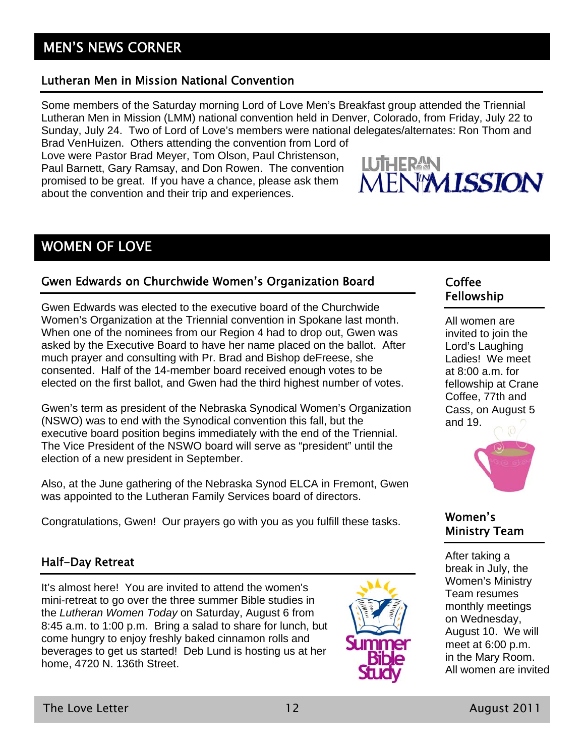## Lutheran Men in Mission National Convention

Some members of the Saturday morning Lord of Love Men's Breakfast group attended the Triennial Lutheran Men in Mission (LMM) national convention held in Denver, Colorado, from Friday, July 22 to Sunday, July 24. Two of Lord of Love's members were national delegates/alternates: Ron Thom and Brad VenHuizen. Others attending the convention from Lord of

Love were Pastor Brad Meyer, Tom Olson, Paul Christenson, Paul Barnett, Gary Ramsay, and Don Rowen. The convention promised to be great. If you have a chance, please ask them about the convention and their trip and experiences.

# **LUTHERAN MENMISSION**

# WOMEN OF LOVE

## Gwen Edwards on Churchwide Women's Organization Board Coffee

Gwen Edwards was elected to the executive board of the Churchwide Women's Organization at the Triennial convention in Spokane last month. When one of the nominees from our Region 4 had to drop out, Gwen was asked by the Executive Board to have her name placed on the ballot. After much prayer and consulting with Pr. Brad and Bishop deFreese, she consented. Half of the 14-member board received enough votes to be elected on the first ballot, and Gwen had the third highest number of votes.

Gwen's term as president of the Nebraska Synodical Women's Organization (NSWO) was to end with the Synodical convention this fall, but the executive board position begins immediately with the end of the Triennial. The Vice President of the NSWO board will serve as "president" until the election of a new president in September.

Also, at the June gathering of the Nebraska Synod ELCA in Fremont, Gwen was appointed to the Lutheran Family Services board of directors.

Congratulations, Gwen! Our prayers go with you as you fulfill these tasks. Women's

## Half-Day Retreat

It's almost here! You are invited to attend the women's mini-retreat to go over the three summer Bible studies in the *Lutheran Women Today* on Saturday, August 6 from 8:45 a.m. to 1:00 p.m. Bring a salad to share for lunch, but come hungry to enjoy freshly baked cinnamon rolls and beverages to get us started! Deb Lund is hosting us at her home, 4720 N. 136th Street.



# Fellowship

All women are invited to join the Lord's Laughing Ladies! We meet at  $8:00$  a.m. for fellowship at Crane Coffee, 77th and Cass, on August 5 and 19.



# Ministry Team

After taking a break in July, the Women's Ministry Team resumes monthly meetings on Wednesday, August 10. We will meet at 6:00 p.m. in the Mary Room. All women are invited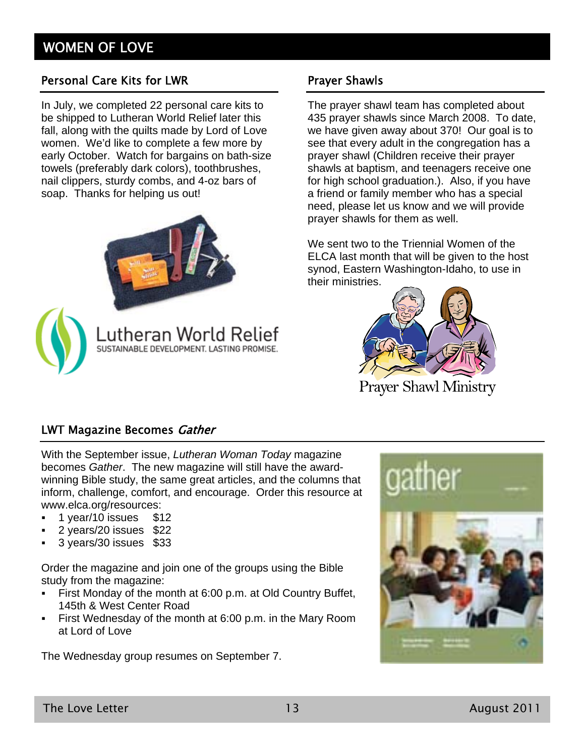## Personal Care Kits for LWR Prayer Shawls

In July, we completed 22 personal care kits to be shipped to Lutheran World Relief later this fall, along with the quilts made by Lord of Love women. We'd like to complete a few more by early October. Watch for bargains on bath-size towels (preferably dark colors), toothbrushes, nail clippers, sturdy combs, and 4-oz bars of soap. Thanks for helping us out!



The prayer shawl team has completed about 435 prayer shawls since March 2008. To date, we have given away about 370! Our goal is to see that every adult in the congregation has a prayer shawl (Children receive their prayer shawls at baptism, and teenagers receive one for high school graduation.). Also, if you have a friend or family member who has a special need, please let us know and we will provide prayer shawls for them as well.

We sent two to the Triennial Women of the ELCA last month that will be given to the host synod, Eastern Washington-Idaho, to use in their ministries.



## LWT Magazine Becomes *Gather*

With the September issue, *Lutheran Woman Today* magazine becomes *Gather*. The new magazine will still have the awardwinning Bible study, the same great articles, and the columns that inform, challenge, comfort, and encourage. Order this resource at www.elca.org/resources:

- 1 year/10 issues \$12
- 2 years/20 issues \$22
- 3 years/30 issues \$33

Order the magazine and join one of the groups using the Bible study from the magazine:

- First Monday of the month at 6:00 p.m. at Old Country Buffet, 145th & West Center Road
- First Wednesday of the month at 6:00 p.m. in the Mary Room at Lord of Love

The Wednesday group resumes on September 7.

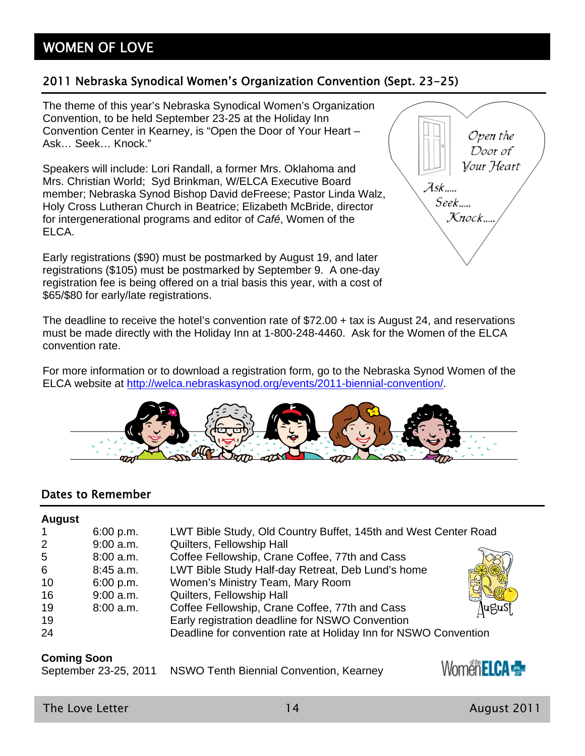# WOMEN OF LOVE

## 2011 Nebraska Synodical Women's Organization Convention (Sept. 23-25)

The theme of this year's Nebraska Synodical Women's Organization Convention, to be held September 23-25 at the Holiday Inn Convention Center in Kearney, is "Open the Door of Your Heart – Ask… Seek… Knock."

Speakers will include: Lori Randall, a former Mrs. Oklahoma and Mrs. Christian World; Syd Brinkman, W/ELCA Executive Board member; Nebraska Synod Bishop David deFreese; Pastor Linda Walz, Holy Cross Lutheran Church in Beatrice; Elizabeth McBride, director for intergenerational programs and editor of *Café*, Women of the ELCA.

Early registrations (\$90) must be postmarked by August 19, and later registrations (\$105) must be postmarked by September 9. A one-day registration fee is being offered on a trial basis this year, with a cost of \$65/\$80 for early/late registrations.



The deadline to receive the hotel's convention rate of \$72.00 + tax is August 24, and reservations must be made directly with the Holiday Inn at 1-800-248-4460. Ask for the Women of the ELCA convention rate.

For more information or to download a registration form, go to the Nebraska Synod Women of the ELCA website at http://welca.nebraskasynod.org/events/2011-biennial-convention/.



#### Dates to Remember

#### **August**

| $\mathbf{1}$ | 6:00 p.m.          | LWT Bible Study, Old Country Buffet, 145th and West Center Road |       |
|--------------|--------------------|-----------------------------------------------------------------|-------|
| 2            | $9:00$ a.m.        | Quilters, Fellowship Hall                                       |       |
| 5            | 8:00 a.m.          | Coffee Fellowship, Crane Coffee, 77th and Cass                  |       |
| 6            | $8:45$ a.m.        | LWT Bible Study Half-day Retreat, Deb Lund's home               |       |
| 10           | 6:00 p.m.          | Women's Ministry Team, Mary Room                                |       |
| 16           | $9:00$ a.m.        | Quilters, Fellowship Hall                                       |       |
| 19           | 8:00 a.m.          | Coffee Fellowship, Crane Coffee, 77th and Cass                  | .ugr- |
| 19           |                    | Early registration deadline for NSWO Convention                 |       |
| 24           |                    | Deadline for convention rate at Holiday Inn for NSWO Convention |       |
|              | <b>Coming Soon</b> | ,,,                                                             |       |

September 23-25, 2011 NSWO Tenth Biennial Convention, Kearney

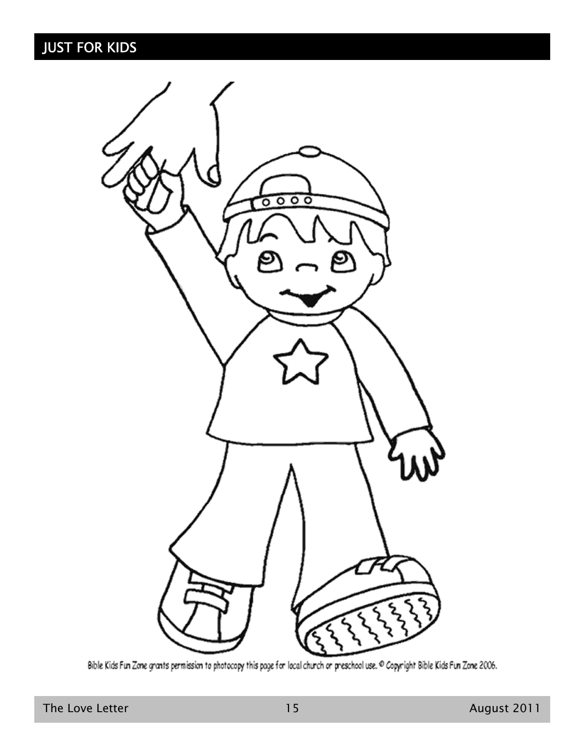

Bible Kids Fun Zone grants permission to photocopy this page for local church or preschool use. @ Copyright Bible Kids Fun Zone 2006.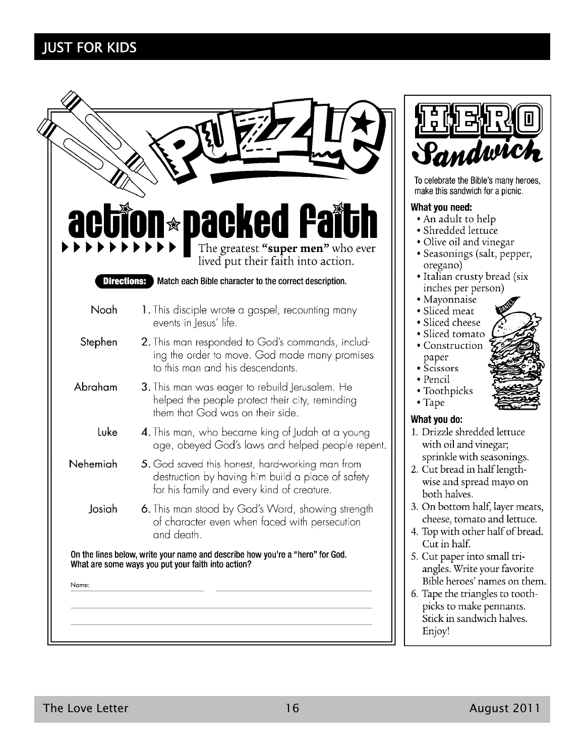# JUST FOR KIDS





To celebrate the Bible's many heroes, make this sandwich for a picnic.

#### What you need:

- An adult to help
- · Shredded lettuce
- Olive oil and vinegar
- Seasonings (salt, pepper, oregano)
- · Italian crusty bread (six inches per person)
- · Mayonnaise
- · Sliced meat
- · Sliced cheese
- · Sliced tomato • Construction
	- paper
- $\cdot$  Scissors
- Pencil
- Toothpicks  $\bullet$  Tape

#### What you do:

- 1. Drizzle shredded lettuce with oil and vinegar; sprinkle with seasonings.
- 2. Cut bread in half lengthwise and spread mayo on both halves.
- 3. On bottom half, layer meats, cheese, tomato and lettuce.
- 4. Top with other half of bread. Cut in half.
- 5. Cut paper into small triangles. Write your favorite Bible heroes' names on them.
- 6. Tape the triangles to toothpicks to make pennants. Stick in sandwich halves. Enjoy!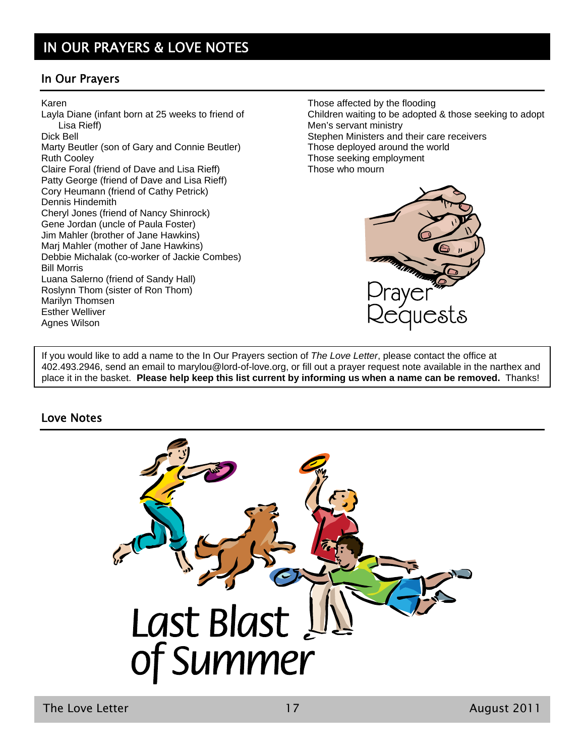## In Our Prayers

Karen

Layla Diane (infant born at 25 weeks to friend of Lisa Rieff) Dick Bell Marty Beutler (son of Gary and Connie Beutler) Ruth Cooley Claire Foral (friend of Dave and Lisa Rieff) Patty George (friend of Dave and Lisa Rieff) Cory Heumann (friend of Cathy Petrick) Dennis Hindemith Cheryl Jones (friend of Nancy Shinrock) Gene Jordan (uncle of Paula Foster) Jim Mahler (brother of Jane Hawkins) Marj Mahler (mother of Jane Hawkins) Debbie Michalak (co-worker of Jackie Combes) Bill Morris Luana Salerno (friend of Sandy Hall) Roslynn Thom (sister of Ron Thom) Marilyn Thomsen Esther Welliver Agnes Wilson

Those affected by the flooding Children waiting to be adopted & those seeking to adopt Men's servant ministry Stephen Ministers and their care receivers Those deployed around the world Those seeking employment Those who mourn



If you would like to add a name to the In Our Prayers section of *The Love Letter*, please contact the office at 402.493.2946, send an email to marylou@lord-of-love.org, or fill out a prayer request note available in the narthex and place it in the basket. **Please help keep this list current by informing us when a name can be removed.** Thanks!

#### Love Notes